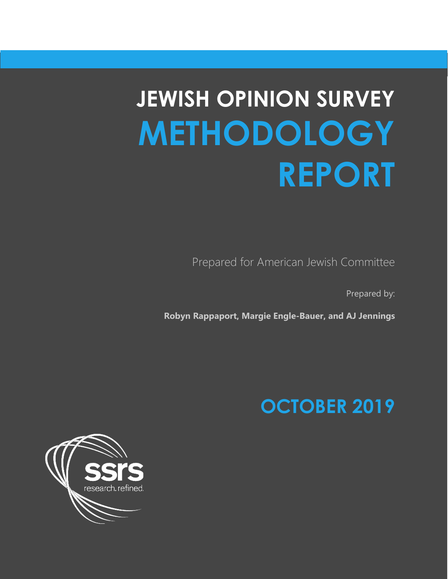# **JEWISH OPINION SURVEY METHODOLOGY REPORT**

Prepared for American Jewish Committee

Prepared by:

**Robyn Rappaport, Margie Engle-Bauer, and AJ Jennings**

## **OCTOBER 2019**

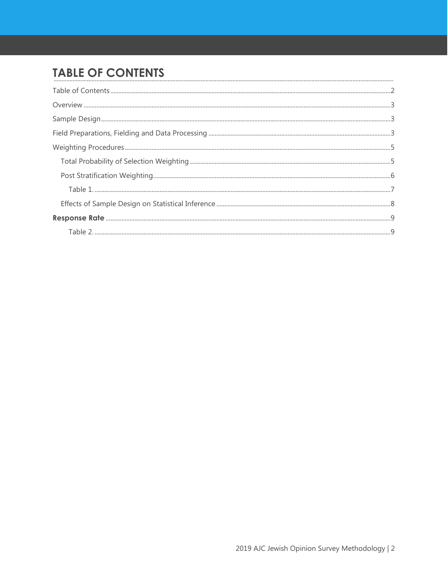## <span id="page-1-0"></span>**TABLE OF CONTENTS**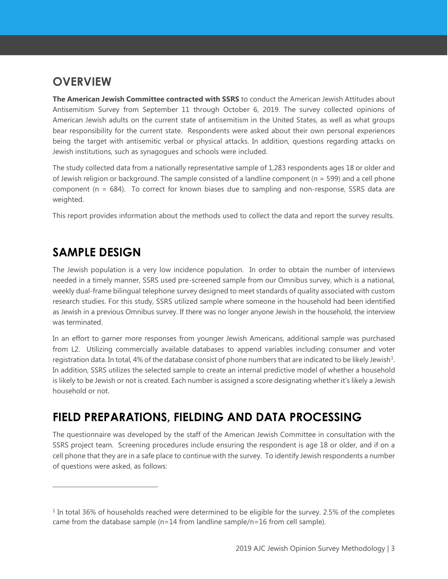## <span id="page-2-0"></span>**OVERVIEW**

**The American Jewish Committee contracted with SSRS** to conduct the American Jewish Attitudes about Antisemitism Survey from September 11 through October 6, 2019. The survey collected opinions of American Jewish adults on the current state of antisemitism in the United States, as well as what groups bear responsibility for the current state. Respondents were asked about their own personal experiences being the target with antisemitic verbal or physical attacks. In addition, questions regarding attacks on Jewish institutions, such as synagogues and schools were included.

The study collected data from a nationally representative sample of 1,283 respondents ages 18 or older and of Jewish religion or background. The sample consisted of a landline component ( $n = 599$ ) and a cell phone component ( $n = 684$ ). To correct for known biases due to sampling and non-response, SSRS data are weighted.

This report provides information about the methods used to collect the data and report the survey results.

## <span id="page-2-1"></span>**SAMPLE DESIGN**

The Jewish population is a very low incidence population. In order to obtain the number of interviews needed in a timely manner, SSRS used pre-screened sample from our Omnibus survey, which is a national, weekly dual-frame bilingual telephone survey designed to meet standards of quality associated with custom research studies. For this study, SSRS utilized sample where someone in the household had been identified as Jewish in a previous Omnibus survey. If there was no longer anyone Jewish in the household, the interview was terminated.

In an effort to garner more responses from younger Jewish Americans, additional sample was purchased from L2. Utilizing commercially available databases to append variables including consumer and voter registration data. In total, 4% of the database consist of phone numbers that are indicated to be likely Jewish<sup>1</sup>. In addition, SSRS utilizes the selected sample to create an internal predictive model of whether a household is likely to be Jewish or not is created. Each number is assigned a score designating whether it's likely a Jewish household or not.

## <span id="page-2-2"></span>**FIELD PREPARATIONS, FIELDING AND DATA PROCESSING**

The questionnaire was developed by the staff of the American Jewish Committee in consultation with the SSRS project team. Screening procedures include ensuring the respondent is age 18 or older, and if on a cell phone that they are in a safe place to continue with the survey. To identify Jewish respondents a number of questions were asked, as follows:

<span id="page-2-3"></span> $1$  In total 36% of households reached were determined to be eligible for the survey. 2.5% of the completes came from the database sample (n=14 from landline sample/n=16 from cell sample).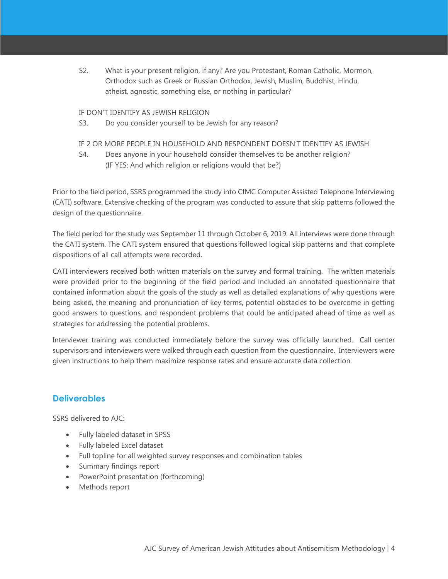S2. What is your present religion, if any? Are you Protestant, Roman Catholic, Mormon, Orthodox such as Greek or Russian Orthodox, Jewish, Muslim, Buddhist, Hindu, atheist, agnostic, something else, or nothing in particular?

#### IF DON'T IDENTIFY AS JEWISH RELIGION

S3. Do you consider yourself to be Jewish for any reason?

#### IF 2 OR MORE PEOPLE IN HOUSEHOLD AND RESPONDENT DOESN'T IDENTIFY AS JEWISH

S4. Does anyone in your household consider themselves to be another religion? (IF YES: And which religion or religions would that be?)

Prior to the field period, SSRS programmed the study into CfMC Computer Assisted Telephone Interviewing (CATI) software. Extensive checking of the program was conducted to assure that skip patterns followed the design of the questionnaire.

The field period for the study was September 11 through October 6, 2019. All interviews were done through the CATI system. The CATI system ensured that questions followed logical skip patterns and that complete dispositions of all call attempts were recorded.

CATI interviewers received both written materials on the survey and formal training. The written materials were provided prior to the beginning of the field period and included an annotated questionnaire that contained information about the goals of the study as well as detailed explanations of why questions were being asked, the meaning and pronunciation of key terms, potential obstacles to be overcome in getting good answers to questions, and respondent problems that could be anticipated ahead of time as well as strategies for addressing the potential problems.

Interviewer training was conducted immediately before the survey was officially launched. Call center supervisors and interviewers were walked through each question from the questionnaire. Interviewers were given instructions to help them maximize response rates and ensure accurate data collection.

#### **Deliverables**

SSRS delivered to AJC:

- Fully labeled dataset in SPSS
- Fully labeled Excel dataset
- Full topline for all weighted survey responses and combination tables
- Summary findings report
- PowerPoint presentation (forthcoming)
- Methods report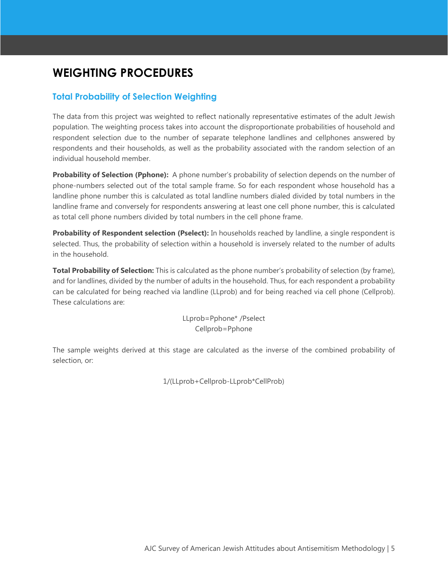## <span id="page-4-0"></span>**WEIGHTING PROCEDURES**

#### <span id="page-4-1"></span>**Total Probability of Selection Weighting**

The data from this project was weighted to reflect nationally representative estimates of the adult Jewish population. The weighting process takes into account the disproportionate probabilities of household and respondent selection due to the number of separate telephone landlines and cellphones answered by respondents and their households, as well as the probability associated with the random selection of an individual household member.

**Probability of Selection (Pphone):** A phone number's probability of selection depends on the number of phone-numbers selected out of the total sample frame. So for each respondent whose household has a landline phone number this is calculated as total landline numbers dialed divided by total numbers in the landline frame and conversely for respondents answering at least one cell phone number, this is calculated as total cell phone numbers divided by total numbers in the cell phone frame.

**Probability of Respondent selection (Pselect):** In households reached by landline, a single respondent is selected. Thus, the probability of selection within a household is inversely related to the number of adults in the household.

**Total Probability of Selection:** This is calculated as the phone number's probability of selection (by frame), and for landlines, divided by the number of adults in the household. Thus, for each respondent a probability can be calculated for being reached via landline (LLprob) and for being reached via cell phone (Cellprob). These calculations are:

> LLprob=Pphone\* /Pselect Cellprob=Pphone

The sample weights derived at this stage are calculated as the inverse of the combined probability of selection, or:

1/(LLprob+Cellprob-LLprob\*CellProb)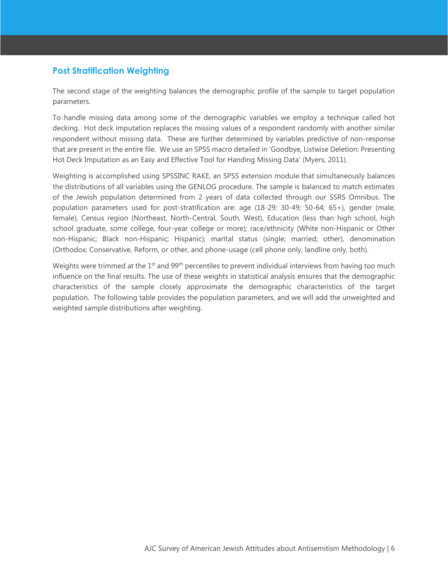#### <span id="page-5-0"></span>**Post Stratification Weighting**

The second stage of the weighting balances the demographic profile of the sample to target population parameters.

To handle missing data among some of the demographic variables we employ a technique called hot decking. Hot deck imputation replaces the missing values of a respondent randomly with another similar respondent without missing data. These are further determined by variables predictive of non-response that are present in the entire file. We use an SPSS macro detailed in 'Goodbye, Listwise Deletion: Presenting Hot Deck Imputation as an Easy and Effective Tool for Handing Missing Data' (Myers, 2011).

Weighting is accomplished using SPSSINC RAKE, an SPSS extension module that simultaneously balances the distributions of all variables using the GENLOG procedure. The sample is balanced to match estimates of the Jewish population determined from 2 years of data collected through our SSRS Omnibus. The population parameters used for post-stratification are: age (18-29; 30-49; 50-64; 65+), gender (male; female), Census region (Northeast, North-Central, South, West), Education (less than high school, high school graduate, some college, four-year college or more); race/ethnicity (White non-Hispanic or Other non-Hispanic; Black non-Hispanic; Hispanic); marital status (single; married; other), denomination (Orthodox; Conservative, Reform, or other, and phone-usage (cell phone only, landline only, both).

Weights were trimmed at the 1<sup>st</sup> and 99<sup>th</sup> percentiles to prevent individual interviews from having too much influence on the final results. The use of these weights in statistical analysis ensures that the demographic characteristics of the sample closely approximate the demographic characteristics of the target population. The following table provides the population parameters, and we will add the unweighted and weighted sample distributions after weighting.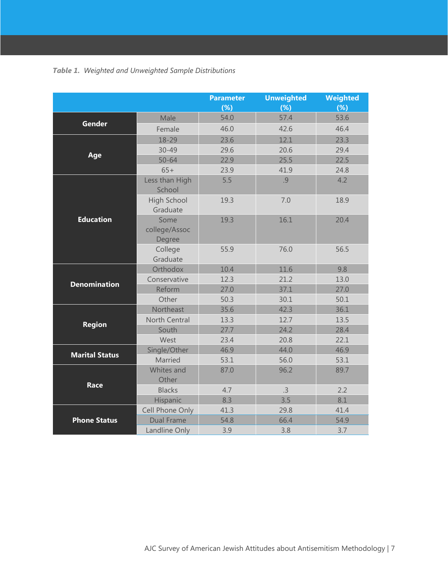<span id="page-6-0"></span>

|                       |                                 | <b>Parameter</b> | <b>Unweighted</b> | Weighted |
|-----------------------|---------------------------------|------------------|-------------------|----------|
|                       |                                 | (%)              | (%)               | (%)      |
|                       | Male                            | 54.0             | 57.4              | 53.6     |
| <b>Gender</b>         | Female                          | 46.0             | 42.6              | 46.4     |
|                       | 18-29                           | 23.6             | 12.1              | 23.3     |
|                       | $30 - 49$                       | 29.6             | 20.6              | 29.4     |
| Age                   | $50 - 64$                       | 22.9             | 25.5              | 22.5     |
|                       | $65+$                           | 23.9             | 41.9              | 24.8     |
| <b>Education</b>      | Less than High<br>School        | 5.5              | .9                | 4.2      |
|                       | <b>High School</b><br>Graduate  | 19.3             | 7.0               | 18.9     |
|                       | Some<br>college/Assoc<br>Degree | 19.3             | 16.1              | 20.4     |
|                       | College<br>Graduate             | 55.9             | 76.0              | 56.5     |
| <b>Denomination</b>   | Orthodox                        | 10.4             | 11.6              | 9.8      |
|                       | Conservative                    | 12.3             | 21.2              | 13.0     |
|                       | Reform                          | 27.0             | 37.1              | 27.0     |
|                       | Other                           | 50.3             | 30.1              | 50.1     |
|                       | Northeast                       | 35.6             | 42.3              | 36.1     |
| <b>Region</b>         | <b>North Central</b>            | 13.3             | 12.7              | 13.5     |
|                       | South                           | 27.7             | 24.2              | 28.4     |
|                       | West                            | 23.4             | 20.8              | 22.1     |
| <b>Marital Status</b> | Single/Other                    | 46.9             | 44.0              | 46.9     |
|                       | Married                         | 53.1             | 56.0              | 53.1     |
|                       | Whites and<br>Other             | 87.0             | 96.2              | 89.7     |
| Race                  | <b>Blacks</b>                   | 4.7              | .3                | 2.2      |
|                       | Hispanic                        | 8.3              | 3.5               | 8.1      |
| <b>Phone Status</b>   | Cell Phone Only                 | 41.3             | 29.8              | 41.4     |
|                       | <b>Dual Frame</b>               | 54.8             | 66.4              | 54.9     |
|                       | Landline Only                   | 3.9              | 3.8               | 3.7      |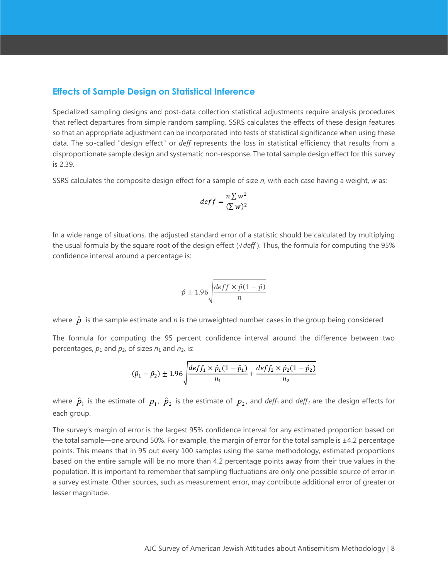#### <span id="page-7-0"></span>**Effects of Sample Design on Statistical Inference**

Specialized sampling designs and post-data collection statistical adjustments require analysis procedures that reflect departures from simple random sampling. SSRS calculates the effects of these design features so that an appropriate adjustment can be incorporated into tests of statistical significance when using these data. The so-called "design effect" or *deff* represents the loss in statistical efficiency that results from a disproportionate sample design and systematic non-response. The total sample design effect for this survey is 2.39.

SSRS calculates the composite design effect for a sample of size *n*, with each case having a weight, *w* as:

$$
deff = \frac{n \sum w^2}{(\sum w)^2}
$$

In a wide range of situations, the adjusted standard error of a statistic should be calculated by multiplying the usual formula by the square root of the design effect (√*deff* ). Thus, the formula for computing the 95% confidence interval around a percentage is:

$$
\hat{p} \pm 1.96 \sqrt{\frac{deff \times \hat{p}(1-\hat{p})}{n}}
$$

where  $\hat{p}$  is the sample estimate and *n* is the unweighted number cases in the group being considered.

The formula for computing the 95 percent confidence interval around the difference between two percentages,  $p_1$  and  $p_2$ , of sizes  $n_1$  and  $n_2$ , is:

$$
(\hat{p}_1 - \hat{p}_2) \pm 1.96 \sqrt{\frac{deff_1 \times \hat{p}_1(1-\hat{p}_1)}{n_1} + \frac{deff_2 \times \hat{p}_2(1-\hat{p}_2)}{n_2}}
$$

where  $\hat{p}_1$  is the estimate of  $p_1$ ,  $\hat{p}_2$  is the estimate of  $p_2$ , and *deff*<sub>1</sub> and *deff*<sub>2</sub> are the design effects for each group.

The survey's margin of error is the largest 95% confidence interval for any estimated proportion based on the total sample—one around 50%. For example, the margin of error for the total sample is ±4.2 percentage points. This means that in 95 out every 100 samples using the same methodology, estimated proportions based on the entire sample will be no more than 4.2 percentage points away from their true values in the population. It is important to remember that sampling fluctuations are only one possible source of error in a survey estimate. Other sources, such as measurement error, may contribute additional error of greater or lesser magnitude.